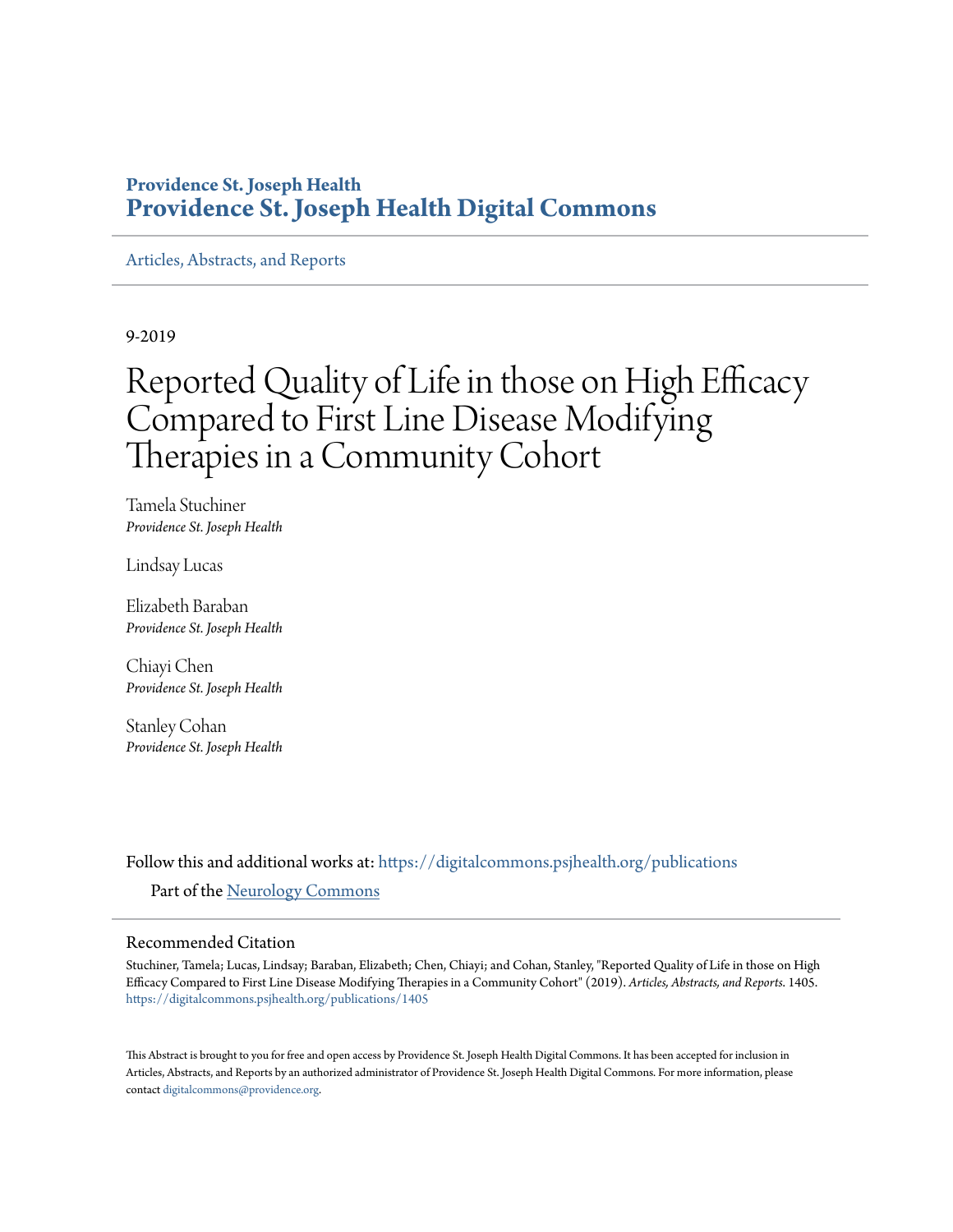## **Providence St. Joseph Health [Providence St. Joseph Health Digital Commons](https://digitalcommons.psjhealth.org?utm_source=digitalcommons.psjhealth.org%2Fpublications%2F1405&utm_medium=PDF&utm_campaign=PDFCoverPages)**

[Articles, Abstracts, and Reports](https://digitalcommons.psjhealth.org/publications?utm_source=digitalcommons.psjhealth.org%2Fpublications%2F1405&utm_medium=PDF&utm_campaign=PDFCoverPages)

9-2019

# Reported Quality of Life in those on High Efficacy Compared to First Line Disease Modifying Therapies in a Community Cohort

Tamela Stuchiner *Providence St. Joseph Health*

Lindsay Lucas

Elizabeth Baraban *Providence St. Joseph Health*

Chiayi Chen *Providence St. Joseph Health*

Stanley Cohan *Providence St. Joseph Health*

Follow this and additional works at: [https://digitalcommons.psjhealth.org/publications](https://digitalcommons.psjhealth.org/publications?utm_source=digitalcommons.psjhealth.org%2Fpublications%2F1405&utm_medium=PDF&utm_campaign=PDFCoverPages) Part of the [Neurology Commons](http://network.bepress.com/hgg/discipline/692?utm_source=digitalcommons.psjhealth.org%2Fpublications%2F1405&utm_medium=PDF&utm_campaign=PDFCoverPages)

#### Recommended Citation

Stuchiner, Tamela; Lucas, Lindsay; Baraban, Elizabeth; Chen, Chiayi; and Cohan, Stanley, "Reported Quality of Life in those on High Efficacy Compared to First Line Disease Modifying Therapies in a Community Cohort" (2019). *Articles, Abstracts, and Reports*. 1405. [https://digitalcommons.psjhealth.org/publications/1405](https://digitalcommons.psjhealth.org/publications/1405?utm_source=digitalcommons.psjhealth.org%2Fpublications%2F1405&utm_medium=PDF&utm_campaign=PDFCoverPages)

This Abstract is brought to you for free and open access by Providence St. Joseph Health Digital Commons. It has been accepted for inclusion in Articles, Abstracts, and Reports by an authorized administrator of Providence St. Joseph Health Digital Commons. For more information, please contact [digitalcommons@providence.org.](mailto:digitalcommons@providence.org)